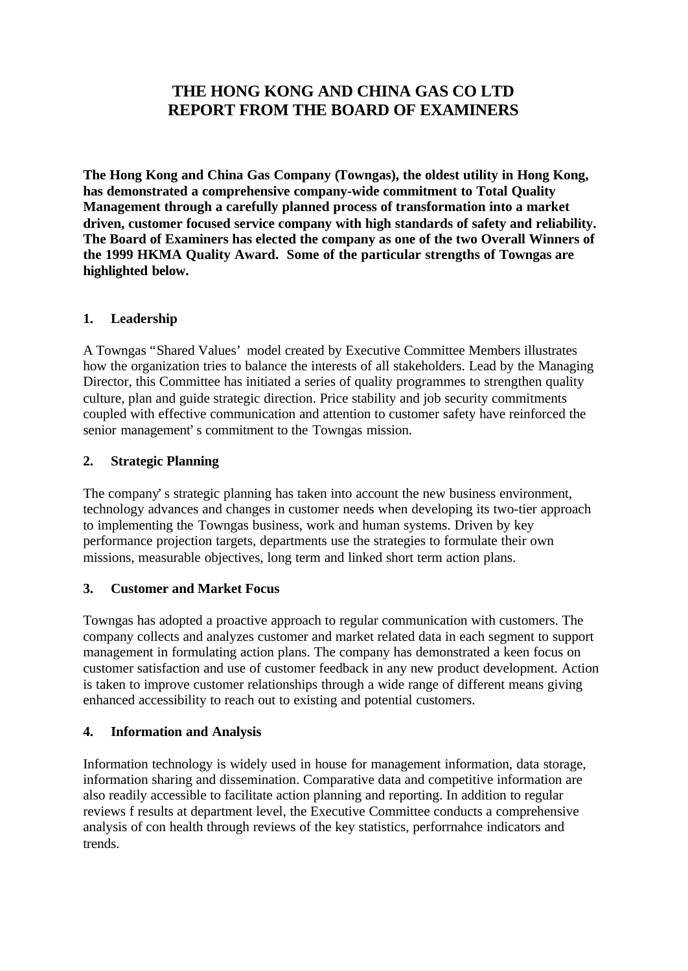# **THE HONG KONG AND CHINA GAS CO LTD REPORT FROM THE BOARD OF EXAMINERS**

**The Hong Kong and China Gas Company (Towngas), the oldest utility in Hong Kong, has demonstrated a comprehensive company-wide commitment to Total Quality Management through a carefully planned process of transformation into a market driven, customer focused service company with high standards of safety and reliability. The Board of Examiners has elected the company as one of the two Overall Winners of the 1999 HKMA Quality Award. Some of the particular strengths of Towngas are highlighted below.**

# **1. Leadership**

A Towngas "Shared Values' model created by Executive Committee Members illustrates how the organization tries to balance the interests of all stakeholders. Lead by the Managing Director, this Committee has initiated a series of quality programmes to strengthen quality culture, plan and guide strategic direction. Price stability and job security commitments coupled with effective communication and attention to customer safety have reinforced the senior management's commitment to the Towngas mission.

# **2. Strategic Planning**

The company's strategic planning has taken into account the new business environment, technology advances and changes in customer needs when developing its two-tier approach to implementing the Towngas business, work and human systems. Driven by key performance projection targets, departments use the strategies to formulate their own missions, measurable objectives, long term and linked short term action plans.

# **3. Customer and Market Focus**

Towngas has adopted a proactive approach to regular communication with customers. The company collects and analyzes customer and market related data in each segment to support management in formulating action plans. The company has demonstrated a keen focus on customer satisfaction and use of customer feedback in any new product development. Action is taken to improve customer relationships through a wide range of different means giving enhanced accessibility to reach out to existing and potential customers.

# **4. Information and Analysis**

Information technology is widely used in house for management information, data storage, information sharing and dissemination. Comparative data and competitive information are also readily accessible to facilitate action planning and reporting. In addition to regular reviews f results at department level, the Executive Committee conducts a comprehensive analysis of con health through reviews of the key statistics, perforrnahce indicators and trends.